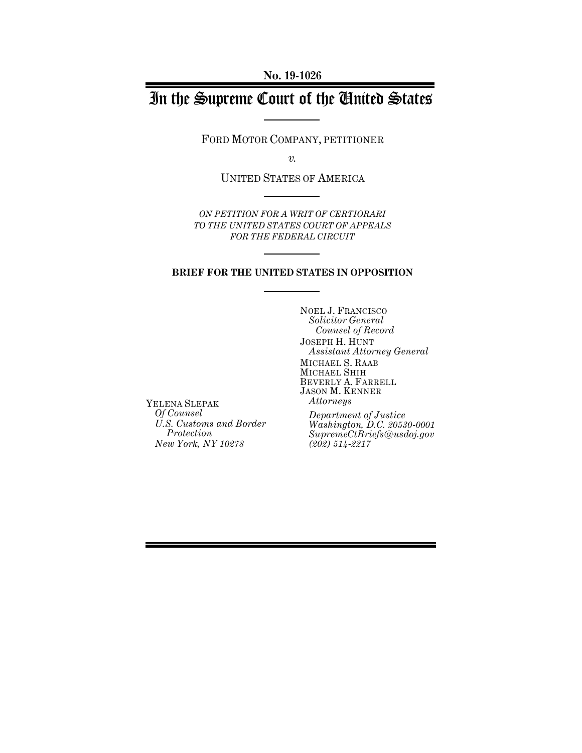# In the Supreme Court of the United States

FORD MOTOR COMPANY, PETITIONER

*v.*

UNITED STATES OF AMERICA

*ON PETITION FOR A WRIT OF CERTIORARI TO THE UNITED STATES COURT OF APPEALS FOR THE FEDERAL CIRCUIT*

### **BRIEF FOR THE UNITED STATES IN OPPOSITION**

NOEL J. FRANCISCO *Solicitor General Counsel of Record* JOSEPH H. HUNT *Assistant Attorney General* MICHAEL S. RAAB MICHAEL SHIH BEVERLY A. FARRELL JASON M. KENNER *Attorneys*

YELENA SLEPAK *Of Counsel U.S. Customs and Border Protection New York, NY 10278*

*Department of Justice Washington, D.C. 20530-0001 SupremeCtBriefs@usdoj.gov (202) 514-2217*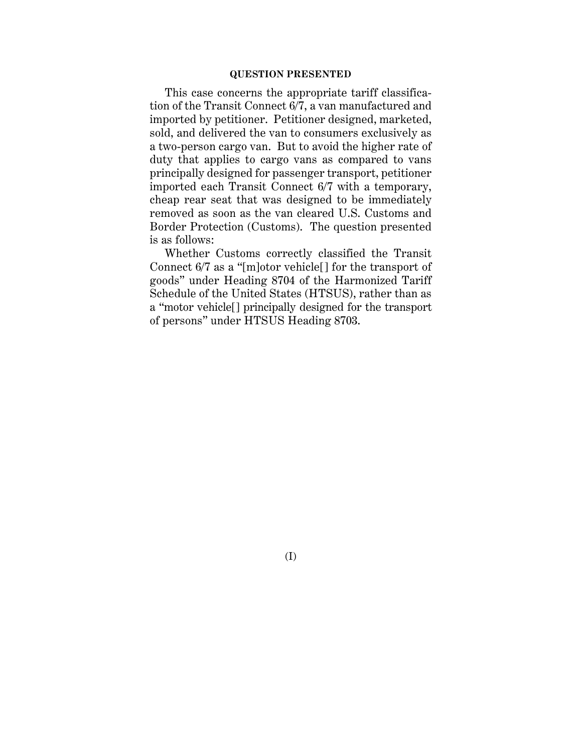### **QUESTION PRESENTED**

This case concerns the appropriate tariff classification of the Transit Connect 6/7, a van manufactured and imported by petitioner. Petitioner designed, marketed, sold, and delivered the van to consumers exclusively as a two-person cargo van. But to avoid the higher rate of duty that applies to cargo vans as compared to vans principally designed for passenger transport, petitioner imported each Transit Connect 6/7 with a temporary, cheap rear seat that was designed to be immediately removed as soon as the van cleared U.S. Customs and Border Protection (Customs). The question presented is as follows:

Whether Customs correctly classified the Transit Connect 6/7 as a "[m]otor vehicle[] for the transport of goods" under Heading 8704 of the Harmonized Tariff Schedule of the United States (HTSUS), rather than as a "motor vehicle[] principally designed for the transport of persons" under HTSUS Heading 8703.

(I)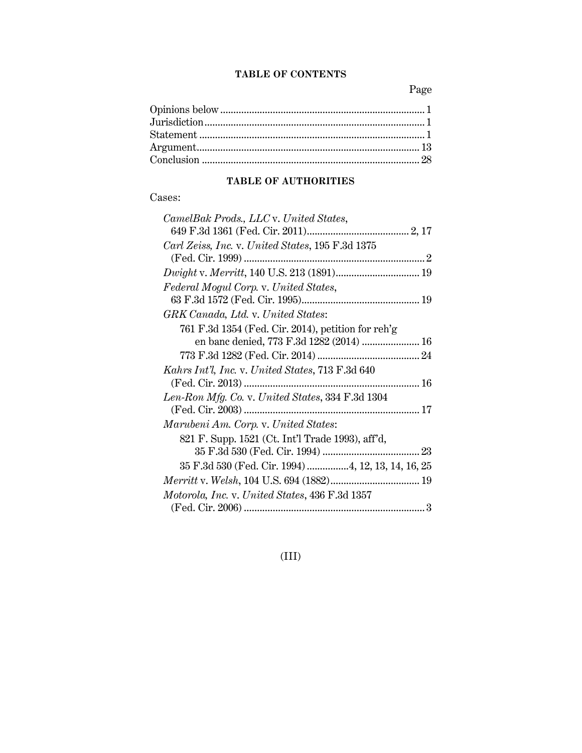## **TABLE OF CONTENTS**

Page

## **TABLE OF AUTHORITIES**

## Cases:

| CamelBak Prods., LLC v. United States,             |  |
|----------------------------------------------------|--|
|                                                    |  |
| Carl Zeiss, Inc. v. United States, 195 F.3d 1375   |  |
|                                                    |  |
|                                                    |  |
| Federal Mogul Corp. v. United States,              |  |
|                                                    |  |
| GRK Canada, Ltd. v. United States:                 |  |
| 761 F.3d 1354 (Fed. Cir. 2014), petition for reh'g |  |
| en banc denied, 773 F.3d 1282 (2014)  16           |  |
|                                                    |  |
| Kahrs Int'l, Inc. v. United States, 713 F.3d 640   |  |
|                                                    |  |
| Len-Ron Mfg. Co. v. United States, 334 F.3d 1304   |  |
|                                                    |  |
| Marubeni Am. Corp. v. United States:               |  |
| 821 F. Supp. 1521 (Ct. Int'l Trade 1993), aff'd,   |  |
|                                                    |  |
| 35 F.3d 530 (Fed. Cir. 1994) 4, 12, 13, 14, 16, 25 |  |
|                                                    |  |
| Motorola, Inc. v. United States, 436 F.3d 1357     |  |
|                                                    |  |

## (III)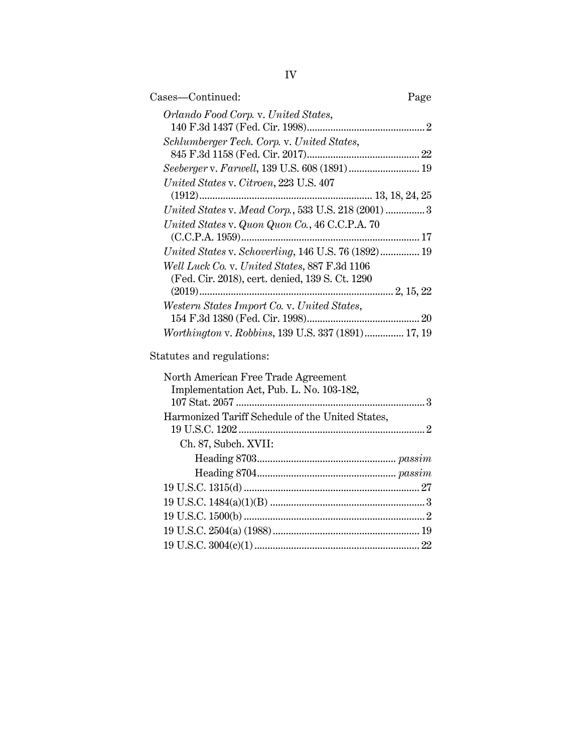| Cases—Continued:<br>Page                                  |  |
|-----------------------------------------------------------|--|
| Orlando Food Corp. v. United States,                      |  |
|                                                           |  |
| Schlumberger Tech. Corp. v. United States,                |  |
|                                                           |  |
|                                                           |  |
| United States v. Citroen, 223 U.S. 407                    |  |
|                                                           |  |
| United States v. Mead Corp., 533 U.S. 218 (2001)  3       |  |
| United States v. Quon Quon Co., 46 C.C.P.A. 70            |  |
|                                                           |  |
| United States v. Schoverling, 146 U.S. 76 (1892) 19       |  |
| Well Luck Co. v. United States, 887 F.3d 1106             |  |
| (Fed. Cir. 2018), cert. denied, 139 S. Ct. 1290           |  |
|                                                           |  |
| Western States Import Co. v. United States,               |  |
|                                                           |  |
| <i>Worthington v. Robbins, 139 U.S. 337 (1891) 17, 19</i> |  |

Statutes and regulations:

| North American Free Trade Agreement              |
|--------------------------------------------------|
| Implementation Act, Pub. L. No. 103-182,         |
|                                                  |
| Harmonized Tariff Schedule of the United States, |
|                                                  |
| Ch. 87, Subch. XVII:                             |
|                                                  |
|                                                  |
|                                                  |
|                                                  |
|                                                  |
|                                                  |
|                                                  |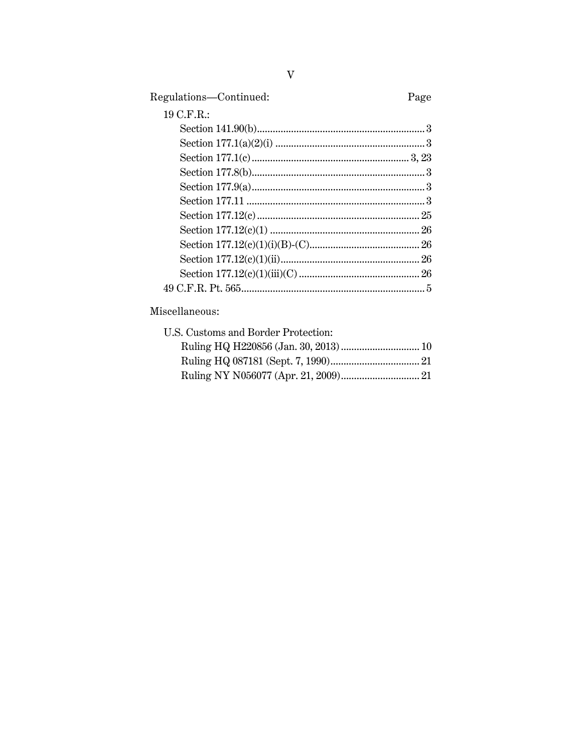| Regulations-Continued: | Page |
|------------------------|------|
| 19 C.F.R.:             |      |
|                        |      |
|                        |      |
|                        |      |
|                        |      |
|                        |      |
|                        |      |
|                        |      |
|                        |      |
|                        |      |
|                        |      |
|                        |      |
|                        |      |

## Miscellaneous:

| U.S. Customs and Border Protection: |  |
|-------------------------------------|--|
|                                     |  |
|                                     |  |
|                                     |  |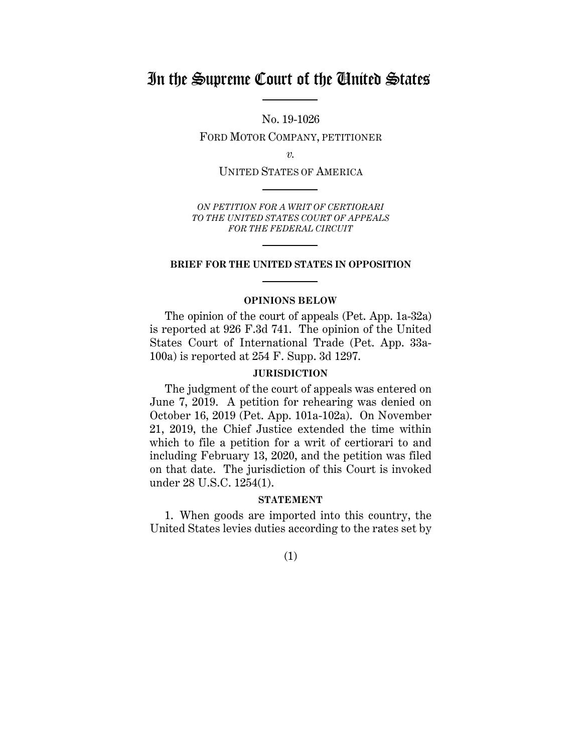## In the Supreme Court of the United States

No. 19-1026

FORD MOTOR COMPANY, PETITIONER

*v.*

UNITED STATES OF AMERICA

*ON PETITION FOR A WRIT OF CERTIORARI TO THE UNITED STATES COURT OF APPEALS FOR THE FEDERAL CIRCUIT*

### **BRIEF FOR THE UNITED STATES IN OPPOSITION**

### **OPINIONS BELOW**

The opinion of the court of appeals (Pet. App. 1a-32a) is reported at 926 F.3d 741. The opinion of the United States Court of International Trade (Pet. App. 33a-100a) is reported at 254 F. Supp. 3d 1297.

### **JURISDICTION**

The judgment of the court of appeals was entered on June 7, 2019. A petition for rehearing was denied on October 16, 2019 (Pet. App. 101a-102a). On November 21, 2019, the Chief Justice extended the time within which to file a petition for a writ of certiorari to and including February 13, 2020, and the petition was filed on that date. The jurisdiction of this Court is invoked under 28 U.S.C. 1254(1).

#### **STATEMENT**

1. When goods are imported into this country, the United States levies duties according to the rates set by

(1)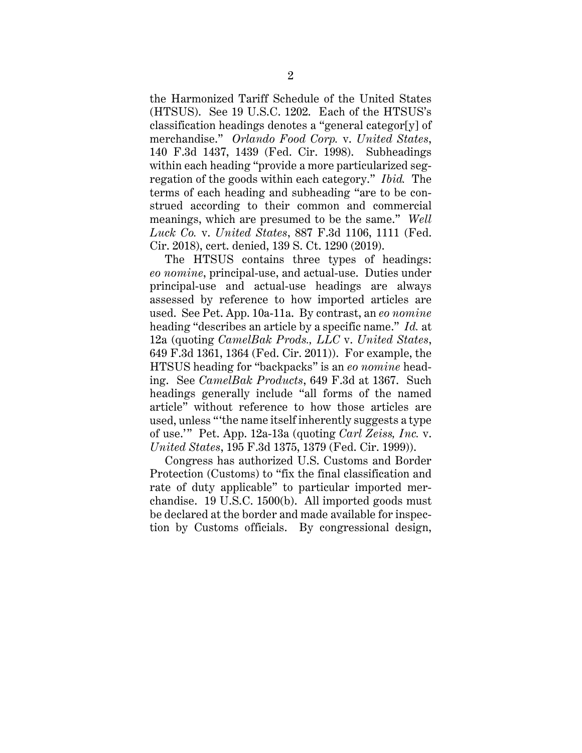the Harmonized Tariff Schedule of the United States (HTSUS). See 19 U.S.C. 1202. Each of the HTSUS's classification headings denotes a "general categor[y] of merchandise." *Orlando Food Corp.* v. *United States*, 140 F.3d 1437, 1439 (Fed. Cir. 1998). Subheadings within each heading "provide a more particularized segregation of the goods within each category." *Ibid.* The terms of each heading and subheading "are to be construed according to their common and commercial meanings, which are presumed to be the same." *Well Luck Co.* v. *United States*, 887 F.3d 1106, 1111 (Fed. Cir. 2018), cert. denied, 139 S. Ct. 1290 (2019).

The HTSUS contains three types of headings: *eo nomine*, principal-use, and actual-use. Duties under principal-use and actual-use headings are always assessed by reference to how imported articles are used. See Pet. App. 10a-11a. By contrast, an *eo nomine*  heading "describes an article by a specific name." *Id.* at 12a (quoting *CamelBak Prods., LLC* v. *United States*, 649 F.3d 1361, 1364 (Fed. Cir. 2011)). For example, the HTSUS heading for "backpacks" is an *eo nomine* heading. See *CamelBak Products*, 649 F.3d at 1367. Such headings generally include "all forms of the named article" without reference to how those articles are used, unless "'the name itself inherently suggests a type of use.'" Pet. App. 12a-13a (quoting *Carl Zeiss, Inc.* v. *United States*, 195 F.3d 1375, 1379 (Fed. Cir. 1999)).

Congress has authorized U.S. Customs and Border Protection (Customs) to "fix the final classification and rate of duty applicable" to particular imported merchandise. 19 U.S.C. 1500(b). All imported goods must be declared at the border and made available for inspection by Customs officials. By congressional design,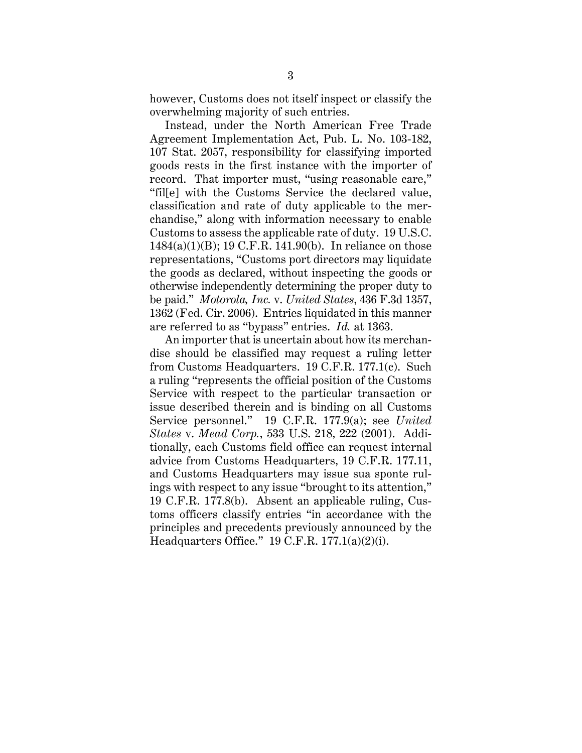however, Customs does not itself inspect or classify the overwhelming majority of such entries.

Instead, under the North American Free Trade Agreement Implementation Act, Pub. L. No. 103-182, 107 Stat. 2057, responsibility for classifying imported goods rests in the first instance with the importer of record. That importer must, "using reasonable care," "fil[e] with the Customs Service the declared value, classification and rate of duty applicable to the merchandise," along with information necessary to enable Customs to assess the applicable rate of duty. 19 U.S.C. 1484(a)(1)(B); 19 C.F.R. 141.90(b). In reliance on those representations, "Customs port directors may liquidate the goods as declared, without inspecting the goods or otherwise independently determining the proper duty to be paid." *Motorola, Inc.* v. *United States*, 436 F.3d 1357, 1362 (Fed. Cir. 2006). Entries liquidated in this manner are referred to as "bypass" entries. *Id.* at 1363.

An importer that is uncertain about how its merchandise should be classified may request a ruling letter from Customs Headquarters. 19 C.F.R. 177.1(c). Such a ruling "represents the official position of the Customs Service with respect to the particular transaction or issue described therein and is binding on all Customs Service personnel." 19 C.F.R. 177.9(a); see *United States* v. *Mead Corp.*, 533 U.S. 218, 222 (2001). Additionally, each Customs field office can request internal advice from Customs Headquarters, 19 C.F.R. 177.11, and Customs Headquarters may issue sua sponte rulings with respect to any issue "brought to its attention," 19 C.F.R. 177.8(b). Absent an applicable ruling, Customs officers classify entries "in accordance with the principles and precedents previously announced by the Headquarters Office." 19 C.F.R. 177.1(a)(2)(i).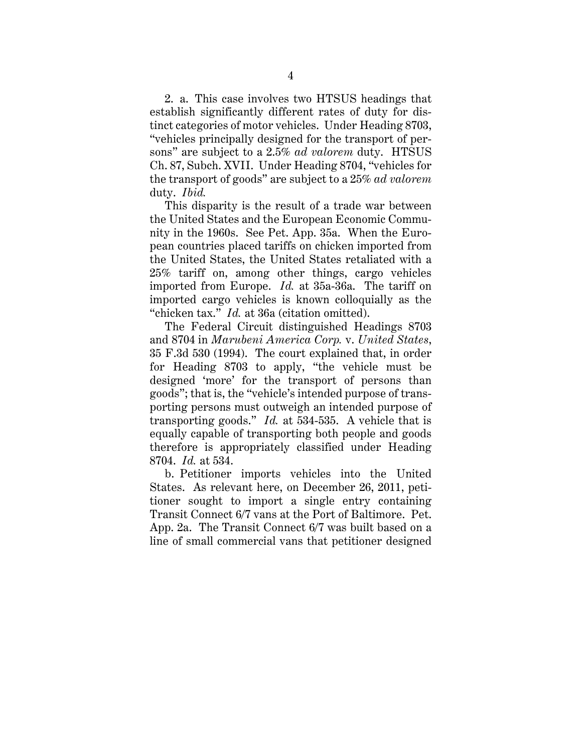2. a. This case involves two HTSUS headings that establish significantly different rates of duty for distinct categories of motor vehicles. Under Heading 8703, "vehicles principally designed for the transport of persons" are subject to a 2.5% *ad valorem* duty. HTSUS Ch. 87, Subch. XVII. Under Heading 8704, "vehicles for the transport of goods" are subject to a 25% *ad valorem* duty. *Ibid.*

This disparity is the result of a trade war between the United States and the European Economic Community in the 1960s. See Pet. App. 35a. When the European countries placed tariffs on chicken imported from the United States, the United States retaliated with a 25% tariff on, among other things, cargo vehicles imported from Europe. *Id.* at 35a-36a. The tariff on imported cargo vehicles is known colloquially as the "chicken tax." *Id.* at 36a (citation omitted).

The Federal Circuit distinguished Headings 8703 and 8704 in *Marubeni America Corp.* v. *United States*, 35 F.3d 530 (1994). The court explained that, in order for Heading 8703 to apply, "the vehicle must be designed 'more' for the transport of persons than goods"; that is, the "vehicle's intended purpose of transporting persons must outweigh an intended purpose of transporting goods." *Id.* at 534-535. A vehicle that is equally capable of transporting both people and goods therefore is appropriately classified under Heading 8704. *Id.* at 534.

b. Petitioner imports vehicles into the United States. As relevant here, on December 26, 2011, petitioner sought to import a single entry containing Transit Connect 6/7 vans at the Port of Baltimore. Pet. App. 2a. The Transit Connect 6/7 was built based on a line of small commercial vans that petitioner designed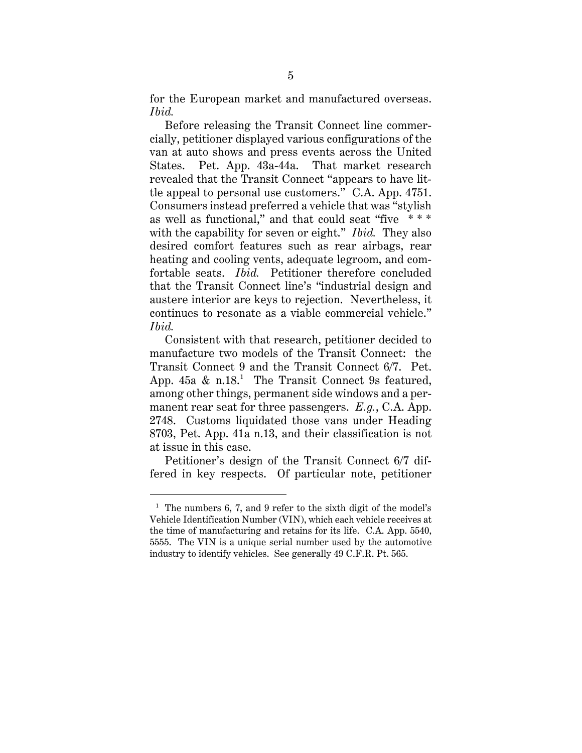for the European market and manufactured overseas. *Ibid.*

Before releasing the Transit Connect line commercially, petitioner displayed various configurations of the van at auto shows and press events across the United States. Pet. App. 43a-44a. That market research revealed that the Transit Connect "appears to have little appeal to personal use customers." C.A. App. 4751. Consumers instead preferred a vehicle that was "stylish as well as functional," and that could seat "five \* \* \* with the capability for seven or eight." *Ibid.* They also desired comfort features such as rear airbags, rear heating and cooling vents, adequate legroom, and comfortable seats. *Ibid.* Petitioner therefore concluded that the Transit Connect line's "industrial design and austere interior are keys to rejection. Nevertheless, it continues to resonate as a viable commercial vehicle." *Ibid.*

Consistent with that research, petitioner decided to manufacture two models of the Transit Connect: the Transit Connect 9 and the Transit Connect 6/7. Pet. App.  $45a \& n.18$ <sup>1</sup> The Transit Connect 9s featured, among other things, permanent side windows and a permanent rear seat for three passengers. *E.g.*, C.A. App. 2748. Customs liquidated those vans under Heading 8703, Pet. App. 41a n.13, and their classification is not at issue in this case.

Petitioner's design of the Transit Connect 6/7 differed in key respects. Of particular note, petitioner

 $\overline{a}$ 

<sup>&</sup>lt;sup>1</sup> The numbers 6, 7, and 9 refer to the sixth digit of the model's Vehicle Identification Number (VIN), which each vehicle receives at the time of manufacturing and retains for its life. C.A. App. 5540, 5555. The VIN is a unique serial number used by the automotive industry to identify vehicles.See generally 49 C.F.R. Pt. 565.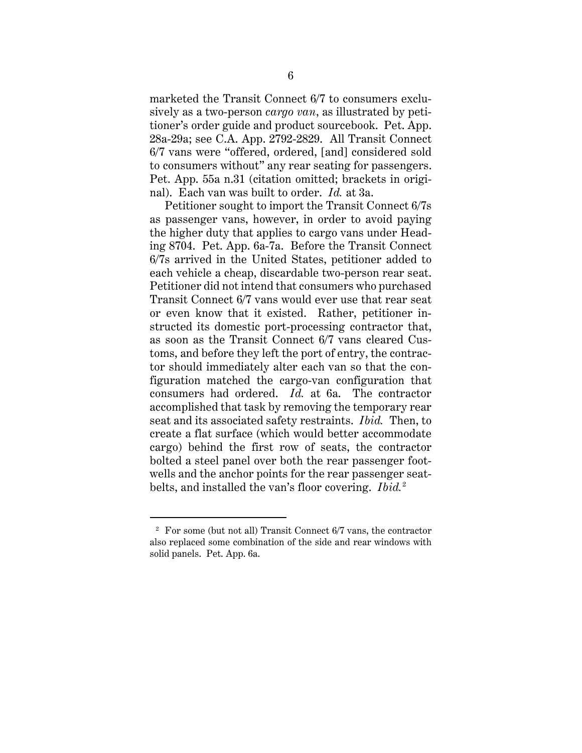marketed the Transit Connect 6/7 to consumers exclusively as a two-person *cargo van*, as illustrated by petitioner's order guide and product sourcebook. Pet. App. 28a-29a; see C.A. App. 2792-2829. All Transit Connect 6/7 vans were "offered, ordered, [and] considered sold to consumers without" any rear seating for passengers. Pet. App. 55a n.31 (citation omitted; brackets in original). Each van was built to order. *Id.* at 3a.

Petitioner sought to import the Transit Connect 6/7s as passenger vans, however, in order to avoid paying the higher duty that applies to cargo vans under Heading 8704. Pet. App. 6a-7a. Before the Transit Connect 6/7s arrived in the United States, petitioner added to each vehicle a cheap, discardable two-person rear seat. Petitioner did not intend that consumers who purchased Transit Connect 6/7 vans would ever use that rear seat or even know that it existed. Rather, petitioner instructed its domestic port-processing contractor that, as soon as the Transit Connect 6/7 vans cleared Customs, and before they left the port of entry, the contractor should immediately alter each van so that the configuration matched the cargo-van configuration that consumers had ordered. *Id.* at 6a. The contractor accomplished that task by removing the temporary rear seat and its associated safety restraints. *Ibid.* Then, to create a flat surface (which would better accommodate cargo) behind the first row of seats, the contractor bolted a steel panel over both the rear passenger footwells and the anchor points for the rear passenger seatbelts, and installed the van's floor covering. *Ibid.*<sup>2</sup>

 $\overline{a}$ 

 $2$  For some (but not all) Transit Connect  $6/7$  vans, the contractor also replaced some combination of the side and rear windows with solid panels. Pet. App. 6a.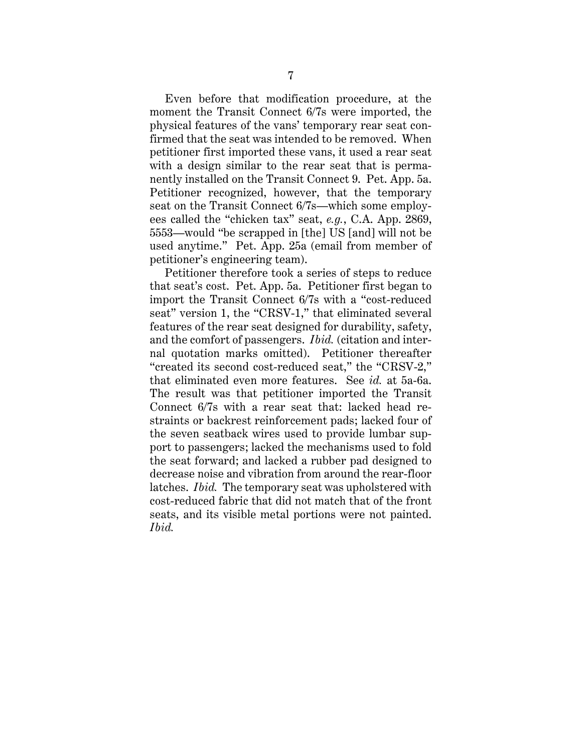Even before that modification procedure, at the moment the Transit Connect 6/7s were imported, the physical features of the vans' temporary rear seat confirmed that the seat was intended to be removed. When petitioner first imported these vans, it used a rear seat with a design similar to the rear seat that is permanently installed on the Transit Connect 9. Pet. App. 5a. Petitioner recognized, however, that the temporary seat on the Transit Connect 6/7s—which some employees called the "chicken tax" seat, *e.g.*, C.A. App. 2869, 5553—would "be scrapped in [the] US [and] will not be used anytime." Pet. App. 25a (email from member of petitioner's engineering team).

Petitioner therefore took a series of steps to reduce that seat's cost. Pet. App. 5a. Petitioner first began to import the Transit Connect 6/7s with a "cost-reduced seat" version 1, the "CRSV-1," that eliminated several features of the rear seat designed for durability, safety, and the comfort of passengers. *Ibid.* (citation and internal quotation marks omitted). Petitioner thereafter "created its second cost-reduced seat," the "CRSV-2," that eliminated even more features. See *id.* at 5a-6a. The result was that petitioner imported the Transit Connect 6/7s with a rear seat that: lacked head restraints or backrest reinforcement pads; lacked four of the seven seatback wires used to provide lumbar support to passengers; lacked the mechanisms used to fold the seat forward; and lacked a rubber pad designed to decrease noise and vibration from around the rear-floor latches. *Ibid.* The temporary seat was upholstered with cost-reduced fabric that did not match that of the front seats, and its visible metal portions were not painted. *Ibid.*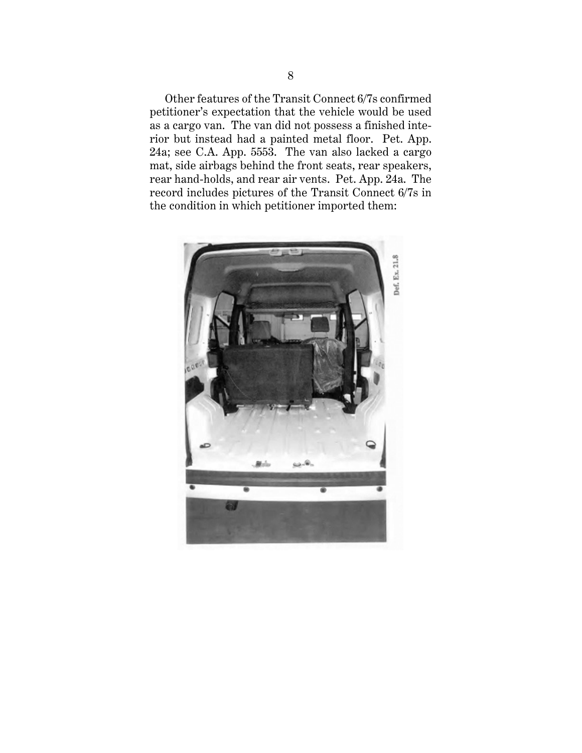Other features of the Transit Connect 6/7s confirmed petitioner's expectation that the vehicle would be used as a cargo van. The van did not possess a finished interior but instead had a painted metal floor. Pet. App. 24a; see C.A. App. 5553. The van also lacked a cargo mat, side airbags behind the front seats, rear speakers, rear hand-holds, and rear air vents. Pet. App. 24a. The record includes pictures of the Transit Connect 6/7s in the condition in which petitioner imported them:

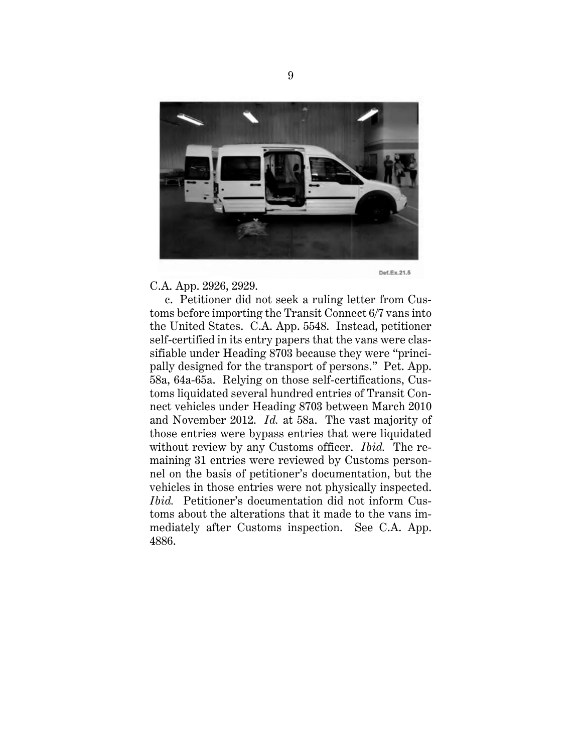

C.A. App. 2926, 2929.

c. Petitioner did not seek a ruling letter from Customs before importing the Transit Connect 6/7 vans into the United States. C.A. App. 5548. Instead, petitioner self-certified in its entry papers that the vans were classifiable under Heading 8703 because they were "principally designed for the transport of persons." Pet. App. 58a, 64a-65a. Relying on those self-certifications, Customs liquidated several hundred entries of Transit Connect vehicles under Heading 8703 between March 2010 and November 2012. *Id.* at 58a. The vast majority of those entries were bypass entries that were liquidated without review by any Customs officer. *Ibid.* The remaining 31 entries were reviewed by Customs personnel on the basis of petitioner's documentation, but the vehicles in those entries were not physically inspected. *Ibid.* Petitioner's documentation did not inform Customs about the alterations that it made to the vans immediately after Customs inspection. See C.A. App. 4886.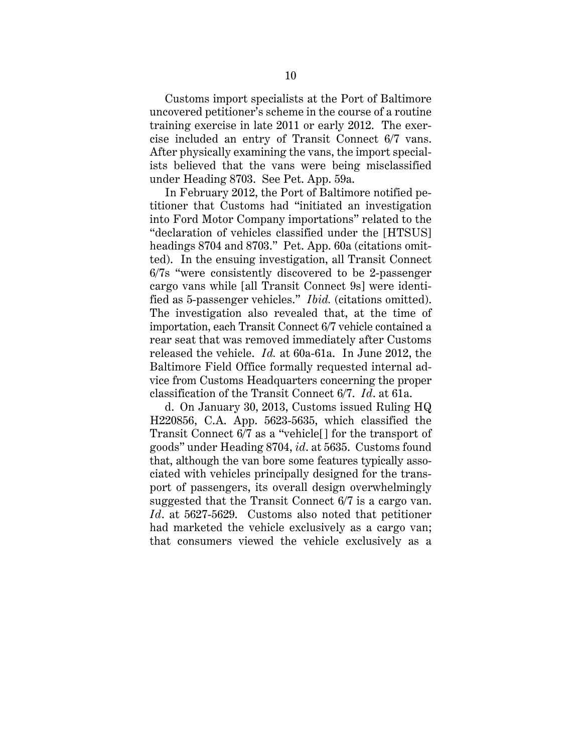Customs import specialists at the Port of Baltimore uncovered petitioner's scheme in the course of a routine training exercise in late 2011 or early 2012. The exercise included an entry of Transit Connect 6/7 vans. After physically examining the vans, the import specialists believed that the vans were being misclassified under Heading 8703. See Pet. App. 59a.

In February 2012, the Port of Baltimore notified petitioner that Customs had "initiated an investigation into Ford Motor Company importations" related to the "declaration of vehicles classified under the [HTSUS] headings 8704 and 8703." Pet. App. 60a (citations omitted). In the ensuing investigation, all Transit Connect 6/7s "were consistently discovered to be 2-passenger cargo vans while [all Transit Connect 9s] were identified as 5-passenger vehicles." *Ibid.* (citations omitted). The investigation also revealed that, at the time of importation, each Transit Connect 6/7 vehicle contained a rear seat that was removed immediately after Customs released the vehicle. *Id.* at 60a-61a. In June 2012, the Baltimore Field Office formally requested internal advice from Customs Headquarters concerning the proper classification of the Transit Connect 6/7. *Id*. at 61a.

d. On January 30, 2013, Customs issued Ruling HQ H220856, C.A. App. 5623-5635, which classified the Transit Connect 6/7 as a "vehicle[] for the transport of goods" under Heading 8704, *id*. at 5635. Customs found that, although the van bore some features typically associated with vehicles principally designed for the transport of passengers, its overall design overwhelmingly suggested that the Transit Connect 6/7 is a cargo van. *Id*. at 5627-5629. Customs also noted that petitioner had marketed the vehicle exclusively as a cargo van; that consumers viewed the vehicle exclusively as a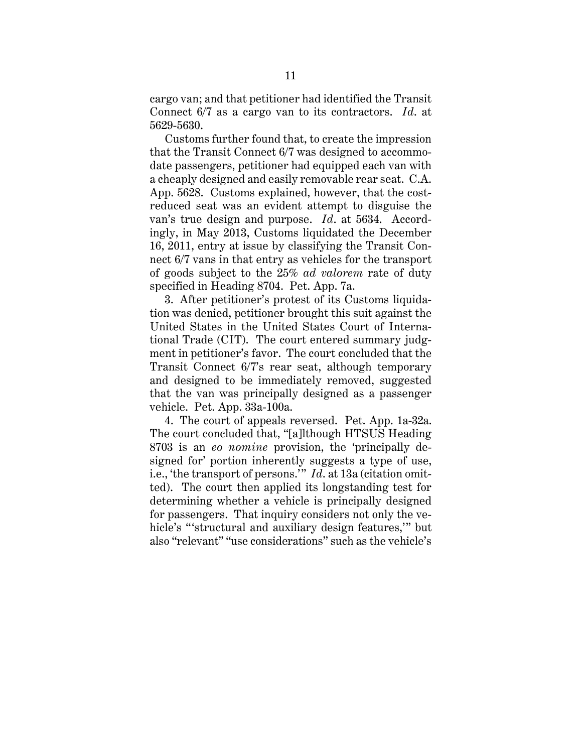cargo van; and that petitioner had identified the Transit Connect 6/7 as a cargo van to its contractors. *Id*. at 5629-5630.

Customs further found that, to create the impression that the Transit Connect 6/7 was designed to accommodate passengers, petitioner had equipped each van with a cheaply designed and easily removable rear seat. C.A. App. 5628. Customs explained, however, that the costreduced seat was an evident attempt to disguise the van's true design and purpose. *Id*. at 5634. Accordingly, in May 2013, Customs liquidated the December 16, 2011, entry at issue by classifying the Transit Connect 6/7 vans in that entry as vehicles for the transport of goods subject to the 25% *ad valorem* rate of duty specified in Heading 8704. Pet. App. 7a.

3. After petitioner's protest of its Customs liquidation was denied, petitioner brought this suit against the United States in the United States Court of International Trade (CIT). The court entered summary judgment in petitioner's favor. The court concluded that the Transit Connect 6/7's rear seat, although temporary and designed to be immediately removed, suggested that the van was principally designed as a passenger vehicle. Pet. App. 33a-100a.

4. The court of appeals reversed. Pet. App. 1a-32a. The court concluded that, "[a]lthough HTSUS Heading 8703 is an *eo nomine* provision, the 'principally designed for' portion inherently suggests a type of use, i.e., 'the transport of persons.'" *Id*. at 13a (citation omitted). The court then applied its longstanding test for determining whether a vehicle is principally designed for passengers. That inquiry considers not only the vehicle's "'structural and auxiliary design features,'" but also "relevant" "use considerations" such as the vehicle's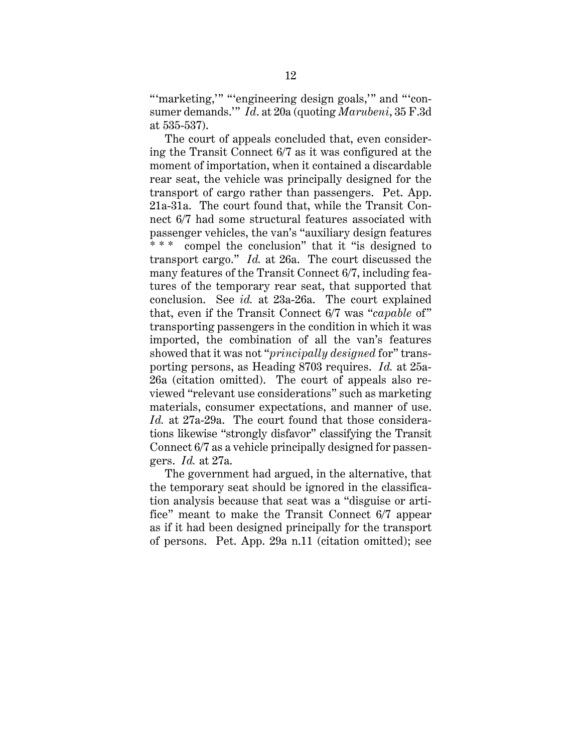"'marketing," "'engineering design goals," and "'consumer demands.'" *Id*. at 20a (quoting *Marubeni*, 35 F.3d at 535-537).

The court of appeals concluded that, even considering the Transit Connect 6/7 as it was configured at the moment of importation, when it contained a discardable rear seat, the vehicle was principally designed for the transport of cargo rather than passengers. Pet. App. 21a-31a. The court found that, while the Transit Connect 6/7 had some structural features associated with passenger vehicles, the van's "auxiliary design features compel the conclusion" that it "is designed to transport cargo." *Id.* at 26a. The court discussed the many features of the Transit Connect 6/7, including features of the temporary rear seat, that supported that conclusion. See *id.* at 23a-26a. The court explained that, even if the Transit Connect 6/7 was "*capable* of" transporting passengers in the condition in which it was imported, the combination of all the van's features showed that it was not "*principally designed* for" transporting persons, as Heading 8703 requires. *Id.* at 25a-26a (citation omitted). The court of appeals also reviewed "relevant use considerations" such as marketing materials, consumer expectations, and manner of use. *Id.* at 27a-29a. The court found that those considerations likewise "strongly disfavor" classifying the Transit Connect 6/7 as a vehicle principally designed for passengers. *Id.* at 27a.

The government had argued, in the alternative, that the temporary seat should be ignored in the classification analysis because that seat was a "disguise or artifice" meant to make the Transit Connect 6/7 appear as if it had been designed principally for the transport of persons. Pet. App. 29a n.11 (citation omitted); see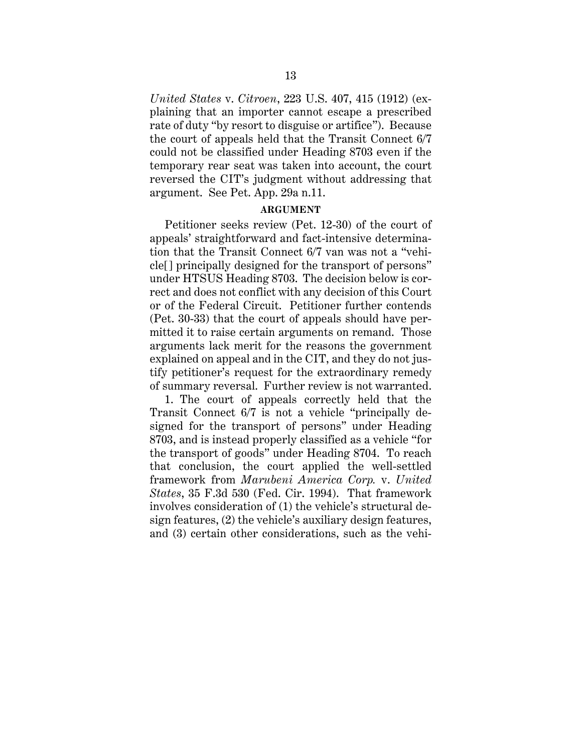*United States* v. *Citroen*, 223 U.S. 407, 415 (1912) (explaining that an importer cannot escape a prescribed rate of duty "by resort to disguise or artifice"). Because the court of appeals held that the Transit Connect 6/7 could not be classified under Heading 8703 even if the temporary rear seat was taken into account, the court reversed the CIT's judgment without addressing that argument. See Pet. App. 29a n.11.

### **ARGUMENT**

Petitioner seeks review (Pet. 12-30) of the court of appeals' straightforward and fact-intensive determination that the Transit Connect 6/7 van was not a "vehicle[] principally designed for the transport of persons" under HTSUS Heading 8703. The decision below is correct and does not conflict with any decision of this Court or of the Federal Circuit. Petitioner further contends (Pet. 30-33) that the court of appeals should have permitted it to raise certain arguments on remand. Those arguments lack merit for the reasons the government explained on appeal and in the CIT, and they do not justify petitioner's request for the extraordinary remedy of summary reversal. Further review is not warranted.

1. The court of appeals correctly held that the Transit Connect 6/7 is not a vehicle "principally designed for the transport of persons" under Heading 8703, and is instead properly classified as a vehicle "for the transport of goods" under Heading 8704. To reach that conclusion, the court applied the well-settled framework from *Marubeni America Corp.* v. *United States*, 35 F.3d 530 (Fed. Cir. 1994). That framework involves consideration of (1) the vehicle's structural design features, (2) the vehicle's auxiliary design features, and (3) certain other considerations, such as the vehi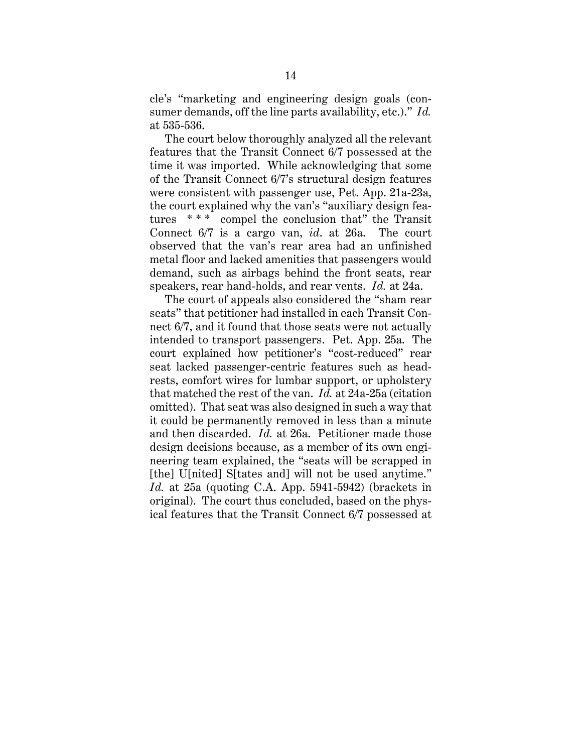cle's "marketing and engineering design goals (consumer demands, off the line parts availability, etc.)." *Id.* at 535-536.

The court below thoroughly analyzed all the relevant features that the Transit Connect 6/7 possessed at the time it was imported. While acknowledging that some of the Transit Connect 6/7's structural design features were consistent with passenger use, Pet. App. 21a-23a, the court explained why the van's "auxiliary design features \*\*\* compel the conclusion that" the Transit Connect 6/7 is a cargo van, *id*. at 26a. The court observed that the van's rear area had an unfinished metal floor and lacked amenities that passengers would demand, such as airbags behind the front seats, rear speakers, rear hand-holds, and rear vents. *Id.* at 24a.

The court of appeals also considered the "sham rear seats" that petitioner had installed in each Transit Connect 6/7, and it found that those seats were not actually intended to transport passengers. Pet. App. 25a. The court explained how petitioner's "cost-reduced" rear seat lacked passenger-centric features such as headrests, comfort wires for lumbar support, or upholstery that matched the rest of the van. *Id.* at 24a-25a (citation omitted). That seat was also designed in such a way that it could be permanently removed in less than a minute and then discarded. *Id.* at 26a. Petitioner made those design decisions because, as a member of its own engineering team explained, the "seats will be scrapped in [the] U[nited] S[tates and] will not be used anytime." *Id.* at 25a (quoting C.A. App. 5941-5942) (brackets in original). The court thus concluded, based on the physical features that the Transit Connect 6/7 possessed at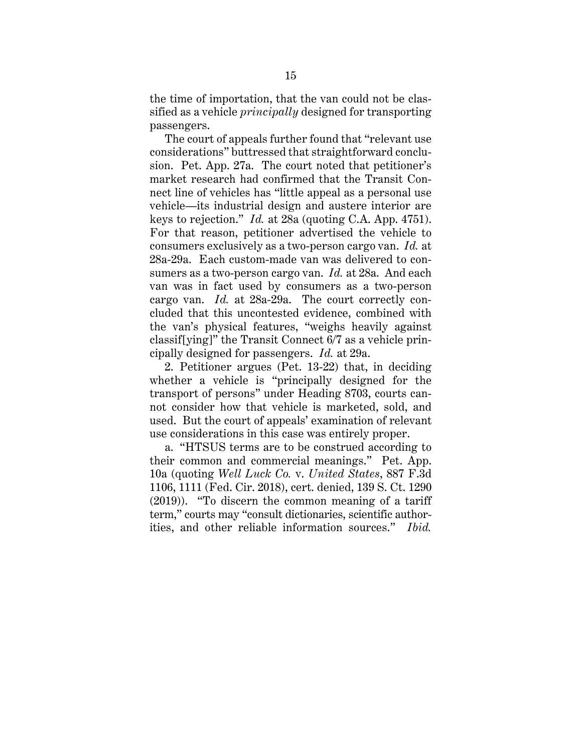the time of importation, that the van could not be classified as a vehicle *principally* designed for transporting passengers.

The court of appeals further found that "relevant use considerations" buttressed that straightforward conclusion. Pet. App. 27a. The court noted that petitioner's market research had confirmed that the Transit Connect line of vehicles has "little appeal as a personal use vehicle—its industrial design and austere interior are keys to rejection." *Id.* at 28a (quoting C.A. App. 4751). For that reason, petitioner advertised the vehicle to consumers exclusively as a two-person cargo van. *Id.* at 28a-29a. Each custom-made van was delivered to consumers as a two-person cargo van. *Id.* at 28a. And each van was in fact used by consumers as a two-person cargo van. *Id.* at 28a-29a. The court correctly concluded that this uncontested evidence, combined with the van's physical features, "weighs heavily against classif[ying]" the Transit Connect 6/7 as a vehicle principally designed for passengers. *Id.* at 29a.

2. Petitioner argues (Pet. 13-22) that, in deciding whether a vehicle is "principally designed for the transport of persons" under Heading 8703, courts cannot consider how that vehicle is marketed, sold, and used. But the court of appeals' examination of relevant use considerations in this case was entirely proper.

a. "HTSUS terms are to be construed according to their common and commercial meanings." Pet. App. 10a (quoting *Well Luck Co.* v. *United States*, 887 F.3d 1106, 1111 (Fed. Cir. 2018), cert. denied, 139 S. Ct. 1290 (2019)). "To discern the common meaning of a tariff term," courts may "consult dictionaries, scientific authorities, and other reliable information sources." *Ibid.*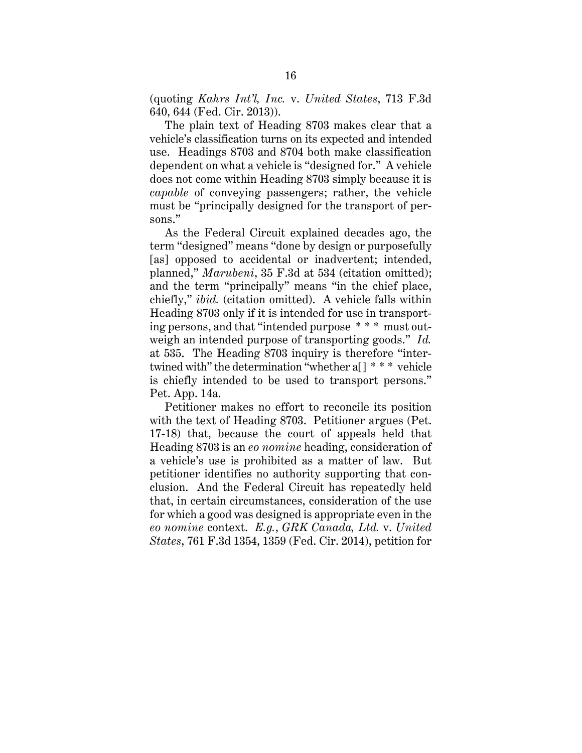(quoting *Kahrs Int'l, Inc.* v. *United States*, 713 F.3d 640, 644 (Fed. Cir. 2013)).

The plain text of Heading 8703 makes clear that a vehicle's classification turns on its expected and intended use. Headings 8703 and 8704 both make classification dependent on what a vehicle is "designed for." A vehicle does not come within Heading 8703 simply because it is *capable* of conveying passengers; rather, the vehicle must be "principally designed for the transport of persons."

As the Federal Circuit explained decades ago, the term "designed" means "done by design or purposefully [as] opposed to accidental or inadvertent; intended, planned," *Marubeni*, 35 F.3d at 534 (citation omitted); and the term "principally" means "in the chief place, chiefly," *ibid.* (citation omitted). A vehicle falls within Heading 8703 only if it is intended for use in transporting persons, and that "intended purpose \* \* \* must outweigh an intended purpose of transporting goods." *Id.* at 535. The Heading 8703 inquiry is therefore "intertwined with" the determination "whether a[] \* \* \* vehicle is chiefly intended to be used to transport persons." Pet. App. 14a.

Petitioner makes no effort to reconcile its position with the text of Heading 8703. Petitioner argues (Pet. 17-18) that, because the court of appeals held that Heading 8703 is an *eo nomine* heading, consideration of a vehicle's use is prohibited as a matter of law. But petitioner identifies no authority supporting that conclusion. And the Federal Circuit has repeatedly held that, in certain circumstances, consideration of the use for which a good was designed is appropriate even in the *eo nomine* context. *E.g.*, *GRK Canada, Ltd.* v. *United States*, 761 F.3d 1354, 1359 (Fed. Cir. 2014), petition for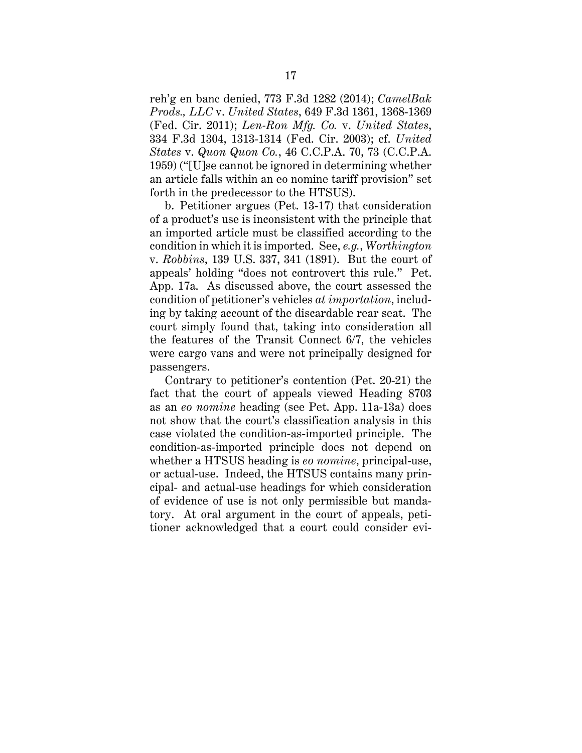reh'g en banc denied, 773 F.3d 1282 (2014); *CamelBak Prods., LLC* v. *United States*, 649 F.3d 1361, 1368-1369 (Fed. Cir. 2011); *Len-Ron Mfg. Co.* v. *United States*, 334 F.3d 1304, 1313-1314 (Fed. Cir. 2003); cf. *United States* v. *Quon Quon Co.*, 46 C.C.P.A. 70, 73 (C.C.P.A. 1959) ("[U]se cannot be ignored in determining whether an article falls within an eo nomine tariff provision" set forth in the predecessor to the HTSUS).

b. Petitioner argues (Pet. 13-17) that consideration of a product's use is inconsistent with the principle that an imported article must be classified according to the condition in which it is imported. See, *e.g.*, *Worthington* v. *Robbins*, 139 U.S. 337, 341 (1891). But the court of appeals' holding "does not controvert this rule." Pet. App. 17a. As discussed above, the court assessed the condition of petitioner's vehicles *at importation*, including by taking account of the discardable rear seat. The court simply found that, taking into consideration all the features of the Transit Connect 6/7, the vehicles were cargo vans and were not principally designed for passengers.

Contrary to petitioner's contention (Pet. 20-21) the fact that the court of appeals viewed Heading 8703 as an *eo nomine* heading (see Pet. App. 11a-13a) does not show that the court's classification analysis in this case violated the condition-as-imported principle. The condition-as-imported principle does not depend on whether a HTSUS heading is *eo nomine*, principal-use, or actual-use. Indeed, the HTSUS contains many principal- and actual-use headings for which consideration of evidence of use is not only permissible but mandatory. At oral argument in the court of appeals, petitioner acknowledged that a court could consider evi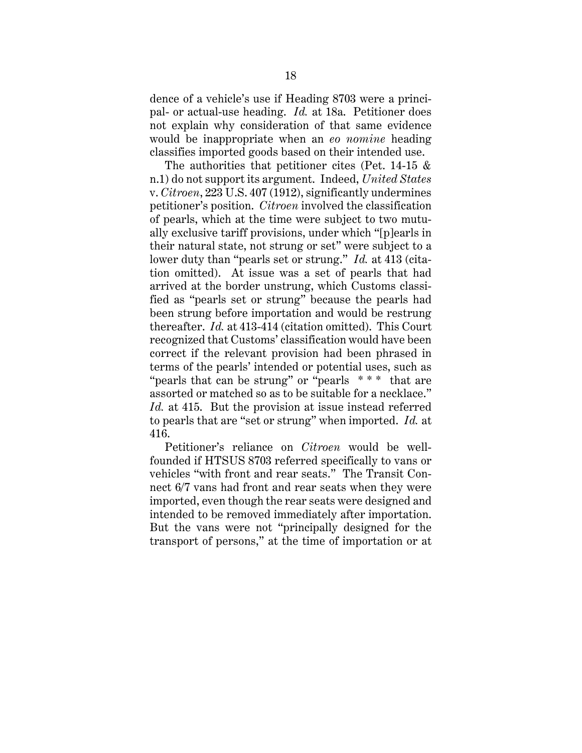dence of a vehicle's use if Heading 8703 were a principal- or actual-use heading. *Id.* at 18a. Petitioner does not explain why consideration of that same evidence would be inappropriate when an *eo nomine* heading classifies imported goods based on their intended use.

The authorities that petitioner cites (Pet. 14-15 & n.1) do not support its argument. Indeed, *United States*  v. *Citroen*, 223 U.S. 407 (1912), significantly undermines petitioner's position. *Citroen* involved the classification of pearls, which at the time were subject to two mutually exclusive tariff provisions, under which "[p]earls in their natural state, not strung or set" were subject to a lower duty than "pearls set or strung." *Id.* at 413 (citation omitted). At issue was a set of pearls that had arrived at the border unstrung, which Customs classified as "pearls set or strung" because the pearls had been strung before importation and would be restrung thereafter. *Id.* at 413-414 (citation omitted). This Court recognized that Customs' classification would have been correct if the relevant provision had been phrased in terms of the pearls' intended or potential uses, such as "pearls that can be strung" or "pearls \*\*\* that are assorted or matched so as to be suitable for a necklace." *Id.* at 415. But the provision at issue instead referred to pearls that are "set or strung" when imported. *Id.* at 416.

Petitioner's reliance on *Citroen* would be wellfounded if HTSUS 8703 referred specifically to vans or vehicles "with front and rear seats." The Transit Connect 6/7 vans had front and rear seats when they were imported, even though the rear seats were designed and intended to be removed immediately after importation. But the vans were not "principally designed for the transport of persons," at the time of importation or at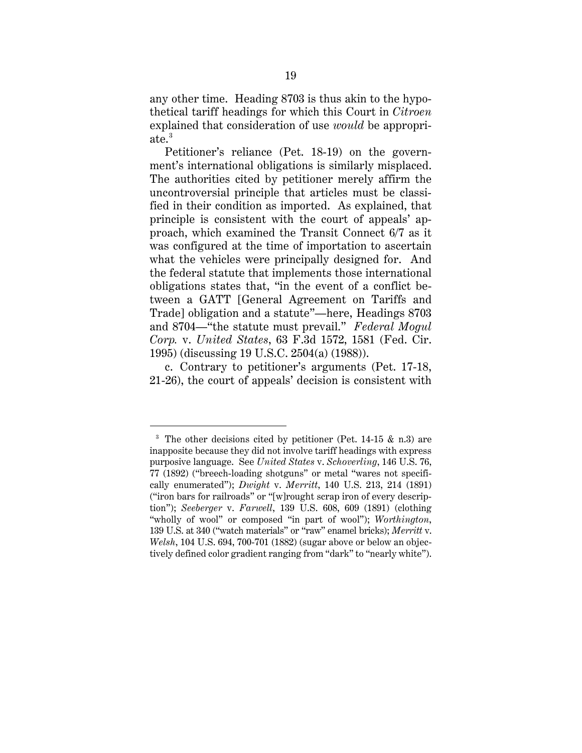any other time. Heading 8703 is thus akin to the hypothetical tariff headings for which this Court in *Citroen*  explained that consideration of use *would* be appropriate.<sup>3</sup>

Petitioner's reliance (Pet. 18-19) on the government's international obligations is similarly misplaced. The authorities cited by petitioner merely affirm the uncontroversial principle that articles must be classified in their condition as imported. As explained, that principle is consistent with the court of appeals' approach, which examined the Transit Connect 6/7 as it was configured at the time of importation to ascertain what the vehicles were principally designed for. And the federal statute that implements those international obligations states that, "in the event of a conflict between a GATT [General Agreement on Tariffs and Trade] obligation and a statute"—here, Headings 8703 and 8704—"the statute must prevail." *Federal Mogul Corp.* v. *United States*, 63 F.3d 1572, 1581 (Fed. Cir. 1995) (discussing 19 U.S.C. 2504(a) (1988)).

c. Contrary to petitioner's arguments (Pet. 17-18, 21-26), the court of appeals' decision is consistent with

 $\overline{a}$ 

<sup>&</sup>lt;sup>3</sup> The other decisions cited by petitioner (Pet. 14-15  $\&$  n.3) are inapposite because they did not involve tariff headings with express purposive language. See *United States* v. *Schoverling*, 146 U.S. 76, 77 (1892) ("breech-loading shotguns" or metal "wares not specifically enumerated"); *Dwight* v. *Merritt*, 140 U.S. 213, 214 (1891) ("iron bars for railroads" or "[w]rought scrap iron of every description"); *Seeberger* v. *Farwell*, 139 U.S. 608, 609 (1891) (clothing "wholly of wool" or composed "in part of wool"); *Worthington*, 139 U.S. at 340 ("watch materials" or "raw" enamel bricks); *Merritt* v. *Welsh*, 104 U.S. 694, 700-701 (1882) (sugar above or below an objectively defined color gradient ranging from "dark" to "nearly white").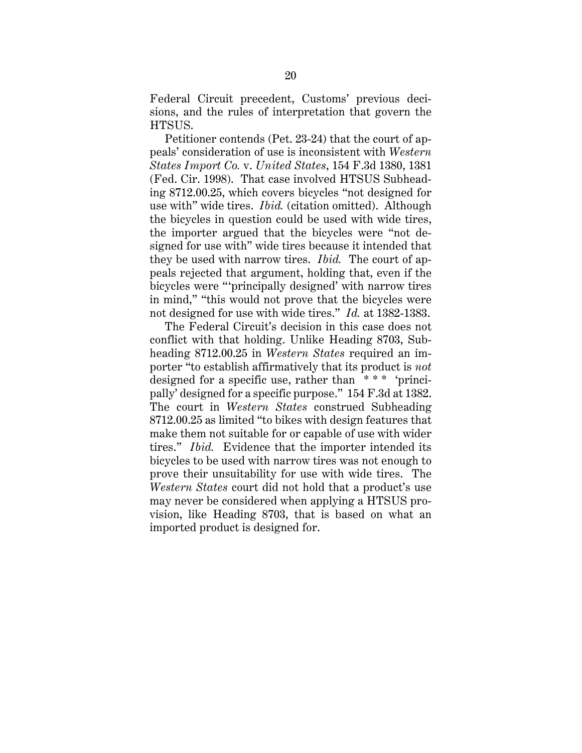Federal Circuit precedent, Customs' previous decisions, and the rules of interpretation that govern the HTSUS.

Petitioner contends (Pet. 23-24) that the court of appeals' consideration of use is inconsistent with *Western States Import Co.* v. *United States*, 154 F.3d 1380, 1381 (Fed. Cir. 1998). That case involved HTSUS Subheading 8712.00.25, which covers bicycles "not designed for use with" wide tires. *Ibid.* (citation omitted). Although the bicycles in question could be used with wide tires, the importer argued that the bicycles were "not designed for use with" wide tires because it intended that they be used with narrow tires. *Ibid.* The court of appeals rejected that argument, holding that, even if the bicycles were "'principally designed' with narrow tires in mind," "this would not prove that the bicycles were not designed for use with wide tires." *Id.* at 1382-1383.

The Federal Circuit's decision in this case does not conflict with that holding. Unlike Heading 8703, Subheading 8712.00.25 in *Western States* required an importer "to establish affirmatively that its product is *not* designed for a specific use, rather than \* \* \* 'principally' designed for a specific purpose." 154 F.3d at 1382. The court in *Western States* construed Subheading 8712.00.25 as limited "to bikes with design features that make them not suitable for or capable of use with wider tires." *Ibid.* Evidence that the importer intended its bicycles to be used with narrow tires was not enough to prove their unsuitability for use with wide tires. The *Western States* court did not hold that a product's use may never be considered when applying a HTSUS provision, like Heading 8703, that is based on what an imported product is designed for.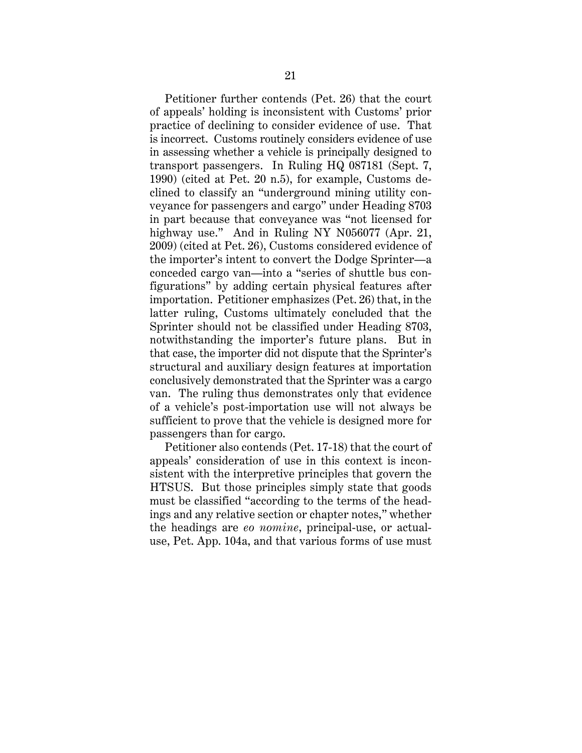Petitioner further contends (Pet. 26) that the court of appeals' holding is inconsistent with Customs' prior practice of declining to consider evidence of use. That is incorrect. Customs routinely considers evidence of use in assessing whether a vehicle is principally designed to transport passengers. In Ruling HQ 087181 (Sept. 7, 1990) (cited at Pet. 20 n.5), for example, Customs declined to classify an "underground mining utility conveyance for passengers and cargo" under Heading 8703 in part because that conveyance was "not licensed for highway use." And in Ruling NY N056077 (Apr. 21, 2009) (cited at Pet. 26), Customs considered evidence of the importer's intent to convert the Dodge Sprinter—a conceded cargo van—into a "series of shuttle bus configurations" by adding certain physical features after importation. Petitioner emphasizes (Pet. 26) that, in the latter ruling, Customs ultimately concluded that the Sprinter should not be classified under Heading 8703, notwithstanding the importer's future plans. But in that case, the importer did not dispute that the Sprinter's structural and auxiliary design features at importation conclusively demonstrated that the Sprinter was a cargo van. The ruling thus demonstrates only that evidence of a vehicle's post-importation use will not always be sufficient to prove that the vehicle is designed more for passengers than for cargo.

Petitioner also contends (Pet. 17-18) that the court of appeals' consideration of use in this context is inconsistent with the interpretive principles that govern the HTSUS. But those principles simply state that goods must be classified "according to the terms of the headings and any relative section or chapter notes," whether the headings are *eo nomine*, principal-use, or actualuse, Pet. App. 104a, and that various forms of use must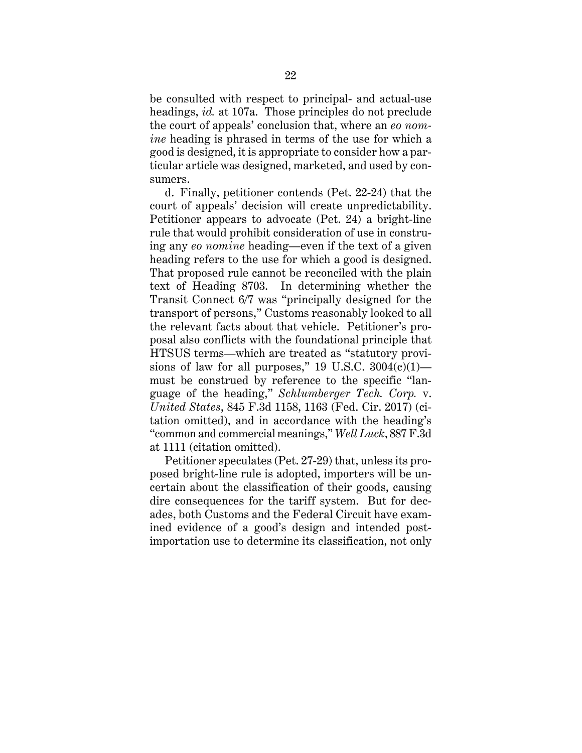be consulted with respect to principal- and actual-use headings, *id.* at 107a. Those principles do not preclude the court of appeals' conclusion that, where an *eo nomine* heading is phrased in terms of the use for which a good is designed, it is appropriate to consider how a particular article was designed, marketed, and used by consumers.

d. Finally, petitioner contends (Pet. 22-24) that the court of appeals' decision will create unpredictability. Petitioner appears to advocate (Pet. 24) a bright-line rule that would prohibit consideration of use in construing any *eo nomine* heading—even if the text of a given heading refers to the use for which a good is designed. That proposed rule cannot be reconciled with the plain text of Heading 8703. In determining whether the Transit Connect 6/7 was "principally designed for the transport of persons," Customs reasonably looked to all the relevant facts about that vehicle. Petitioner's proposal also conflicts with the foundational principle that HTSUS terms—which are treated as "statutory provisions of law for all purposes," 19 U.S.C.  $3004(c)(1)$  must be construed by reference to the specific "language of the heading," *Schlumberger Tech. Corp.* v. *United States*, 845 F.3d 1158, 1163 (Fed. Cir. 2017) (citation omitted), and in accordance with the heading's "common and commercial meanings," *Well Luck*, 887 F.3d at 1111 (citation omitted).

Petitioner speculates (Pet. 27-29) that, unless its proposed bright-line rule is adopted, importers will be uncertain about the classification of their goods, causing dire consequences for the tariff system. But for decades, both Customs and the Federal Circuit have examined evidence of a good's design and intended postimportation use to determine its classification, not only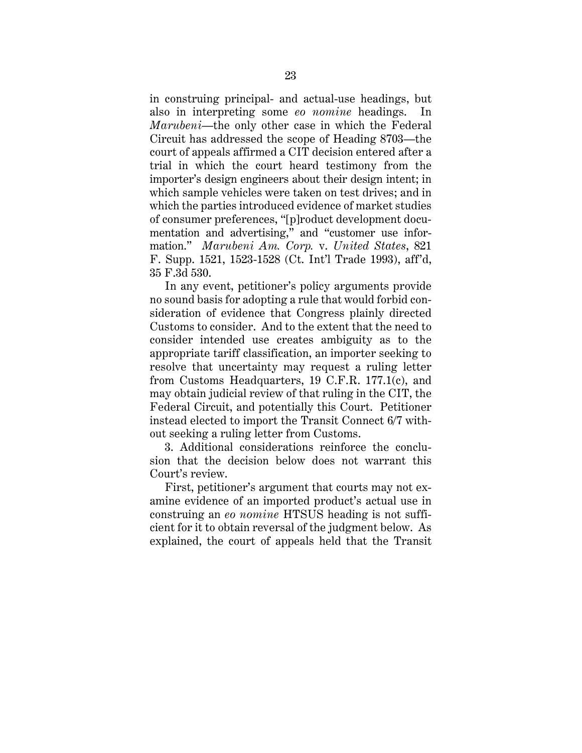in construing principal- and actual-use headings, but also in interpreting some *eo nomine* headings. In *Marubeni*—the only other case in which the Federal Circuit has addressed the scope of Heading 8703—the court of appeals affirmed a CIT decision entered after a trial in which the court heard testimony from the importer's design engineers about their design intent; in which sample vehicles were taken on test drives; and in which the parties introduced evidence of market studies of consumer preferences, "[p]roduct development documentation and advertising," and "customer use information." *Marubeni Am. Corp.* v. *United States*, 821 F. Supp. 1521, 1523-1528 (Ct. Int'l Trade 1993), aff'd, 35 F.3d 530.

In any event, petitioner's policy arguments provide no sound basis for adopting a rule that would forbid consideration of evidence that Congress plainly directed Customs to consider. And to the extent that the need to consider intended use creates ambiguity as to the appropriate tariff classification, an importer seeking to resolve that uncertainty may request a ruling letter from Customs Headquarters, 19 C.F.R. 177.1(c), and may obtain judicial review of that ruling in the CIT, the Federal Circuit, and potentially this Court. Petitioner instead elected to import the Transit Connect 6/7 without seeking a ruling letter from Customs.

3. Additional considerations reinforce the conclusion that the decision below does not warrant this Court's review.

First, petitioner's argument that courts may not examine evidence of an imported product's actual use in construing an *eo nomine* HTSUS heading is not sufficient for it to obtain reversal of the judgment below. As explained, the court of appeals held that the Transit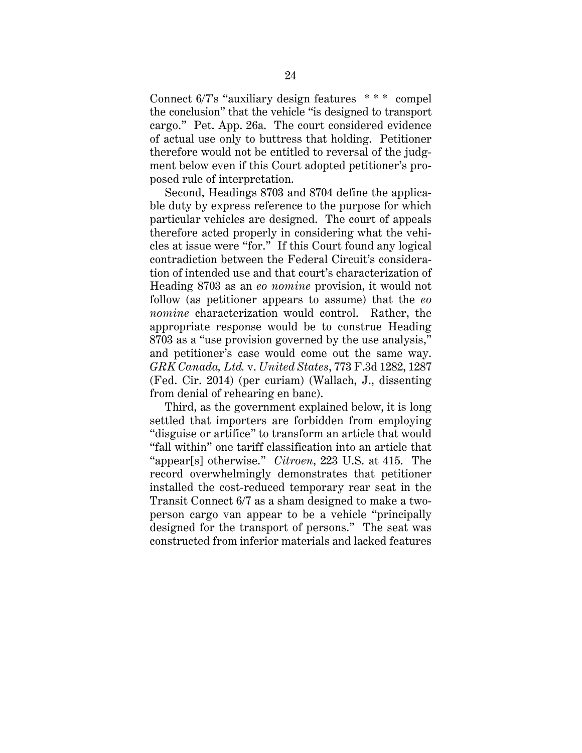Connect 6/7's "auxiliary design features \* \* \* compel the conclusion" that the vehicle "is designed to transport cargo." Pet. App. 26a. The court considered evidence of actual use only to buttress that holding. Petitioner therefore would not be entitled to reversal of the judgment below even if this Court adopted petitioner's proposed rule of interpretation.

Second, Headings 8703 and 8704 define the applicable duty by express reference to the purpose for which particular vehicles are designed. The court of appeals therefore acted properly in considering what the vehicles at issue were "for." If this Court found any logical contradiction between the Federal Circuit's consideration of intended use and that court's characterization of Heading 8703 as an *eo nomine* provision, it would not follow (as petitioner appears to assume) that the *eo nomine* characterization would control. Rather, the appropriate response would be to construe Heading 8703 as a "use provision governed by the use analysis," and petitioner's case would come out the same way. *GRK Canada, Ltd.* v. *United States*, 773 F.3d 1282, 1287 (Fed. Cir. 2014) (per curiam) (Wallach, J., dissenting from denial of rehearing en banc).

Third, as the government explained below, it is long settled that importers are forbidden from employing "disguise or artifice" to transform an article that would "fall within" one tariff classification into an article that "appear[s] otherwise." *Citroen*, 223 U.S. at 415. The record overwhelmingly demonstrates that petitioner installed the cost-reduced temporary rear seat in the Transit Connect 6/7 as a sham designed to make a twoperson cargo van appear to be a vehicle "principally designed for the transport of persons." The seat was constructed from inferior materials and lacked features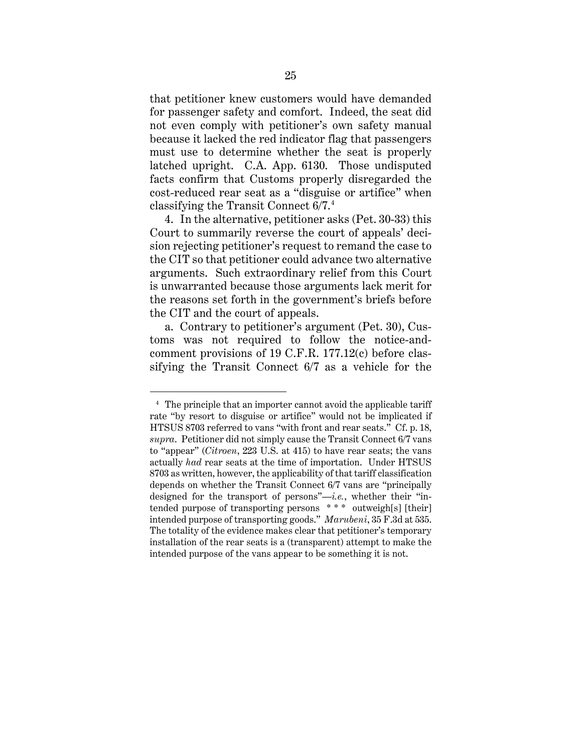that petitioner knew customers would have demanded for passenger safety and comfort. Indeed, the seat did not even comply with petitioner's own safety manual because it lacked the red indicator flag that passengers must use to determine whether the seat is properly latched upright. C.A. App. 6130. Those undisputed facts confirm that Customs properly disregarded the cost-reduced rear seat as a "disguise or artifice" when classifying the Transit Connect 6/7. 4

4. In the alternative, petitioner asks (Pet. 30-33) this Court to summarily reverse the court of appeals' decision rejecting petitioner's request to remand the case to the CIT so that petitioner could advance two alternative arguments. Such extraordinary relief from this Court is unwarranted because those arguments lack merit for the reasons set forth in the government's briefs before the CIT and the court of appeals.

a. Contrary to petitioner's argument (Pet. 30), Customs was not required to follow the notice-andcomment provisions of 19 C.F.R. 177.12(c) before classifying the Transit Connect 6/7 as a vehicle for the

 $\overline{a}$ 

<sup>&</sup>lt;sup>4</sup> The principle that an importer cannot avoid the applicable tariff rate "by resort to disguise or artifice" would not be implicated if HTSUS 8703 referred to vans "with front and rear seats." Cf. p. 18, *supra*. Petitioner did not simply cause the Transit Connect 6/7 vans to "appear" (*Citroen*, 223 U.S. at 415) to have rear seats; the vans actually *had* rear seats at the time of importation. Under HTSUS 8703 as written, however, the applicability of that tariff classification depends on whether the Transit Connect 6/7 vans are "principally designed for the transport of persons"—*i.e.*, whether their "intended purpose of transporting persons \* \* \* outweigh[s] [their] intended purpose of transporting goods." *Marubeni*, 35 F.3d at 535. The totality of the evidence makes clear that petitioner's temporary installation of the rear seats is a (transparent) attempt to make the intended purpose of the vans appear to be something it is not.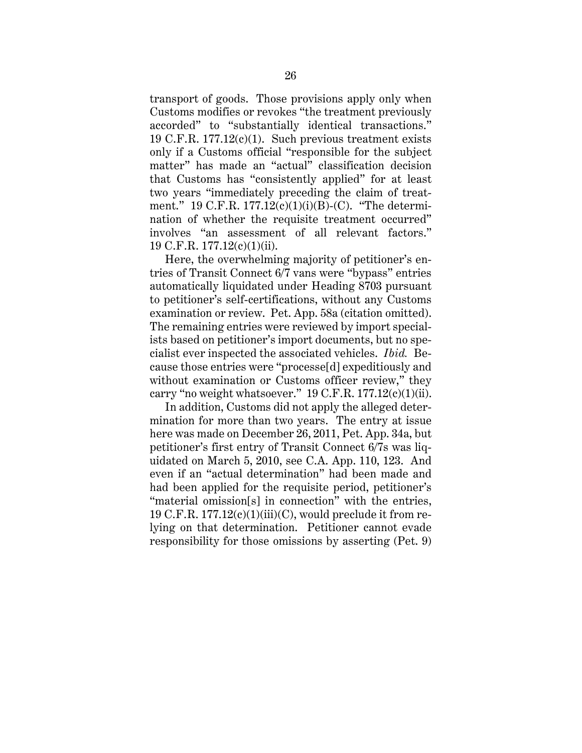transport of goods. Those provisions apply only when Customs modifies or revokes "the treatment previously accorded" to "substantially identical transactions." 19 C.F.R. 177.12(c)(1). Such previous treatment exists only if a Customs official "responsible for the subject matter" has made an "actual" classification decision that Customs has "consistently applied" for at least two years "immediately preceding the claim of treatment." 19 C.F.R. 177.12(c)(1)(i)(B)-(C). "The determination of whether the requisite treatment occurred" involves "an assessment of all relevant factors." 19 C.F.R. 177.12(c)(1)(ii).

Here, the overwhelming majority of petitioner's entries of Transit Connect 6/7 vans were "bypass" entries automatically liquidated under Heading 8703 pursuant to petitioner's self-certifications, without any Customs examination or review. Pet. App. 58a (citation omitted). The remaining entries were reviewed by import specialists based on petitioner's import documents, but no specialist ever inspected the associated vehicles. *Ibid.* Because those entries were "processe[d] expeditiously and without examination or Customs officer review," they carry "no weight whatsoever."  $19 \text{ C.F.R. } 177.12(c)(1)(ii)$ .

In addition, Customs did not apply the alleged determination for more than two years. The entry at issue here was made on December 26, 2011, Pet. App. 34a, but petitioner's first entry of Transit Connect 6/7s was liquidated on March 5, 2010, see C.A. App. 110, 123. And even if an "actual determination" had been made and had been applied for the requisite period, petitioner's "material omission[s] in connection" with the entries, 19 C.F.R.  $177.12(c)(1)(iii)(C)$ , would preclude it from relying on that determination. Petitioner cannot evade responsibility for those omissions by asserting (Pet. 9)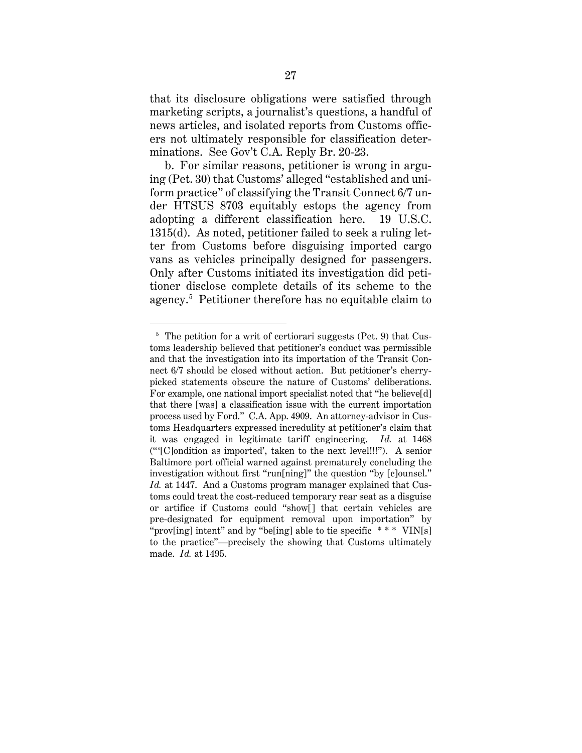that its disclosure obligations were satisfied through marketing scripts, a journalist's questions, a handful of news articles, and isolated reports from Customs officers not ultimately responsible for classification determinations. See Gov't C.A. Reply Br. 20-23.

b. For similar reasons, petitioner is wrong in arguing (Pet. 30) that Customs' alleged "established and uniform practice" of classifying the Transit Connect 6/7 under HTSUS 8703 equitably estops the agency from adopting a different classification here. 19 U.S.C. 1315(d). As noted, petitioner failed to seek a ruling letter from Customs before disguising imported cargo vans as vehicles principally designed for passengers. Only after Customs initiated its investigation did petitioner disclose complete details of its scheme to the agency.<sup>5</sup> Petitioner therefore has no equitable claim to

 $\overline{a}$ 

 $5$  The petition for a writ of certiorari suggests (Pet. 9) that Customs leadership believed that petitioner's conduct was permissible and that the investigation into its importation of the Transit Connect 6/7 should be closed without action. But petitioner's cherrypicked statements obscure the nature of Customs' deliberations. For example, one national import specialist noted that "he believe[d] that there [was] a classification issue with the current importation process used by Ford." C.A. App. 4909. An attorney-advisor in Customs Headquarters expressed incredulity at petitioner's claim that it was engaged in legitimate tariff engineering. *Id.* at 1468 ("'[C]ondition as imported', taken to the next level!!!"). A senior Baltimore port official warned against prematurely concluding the investigation without first "run[ning]" the question "by [c]ounsel." *Id.* at 1447. And a Customs program manager explained that Customs could treat the cost-reduced temporary rear seat as a disguise or artifice if Customs could "show[] that certain vehicles are pre-designated for equipment removal upon importation" by "prov[ing] intent" and by "be[ing] able to tie specific  $***$  VIN[s] to the practice"—precisely the showing that Customs ultimately made. *Id.* at 1495.